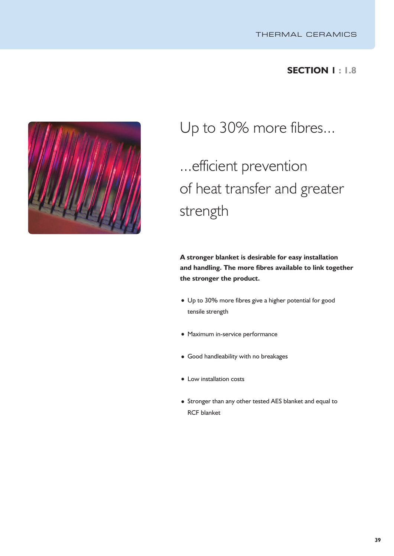## **SECTION 1 : 1.8**



Up to 30% more fibres...

# ...efficient prevention of heat transfer and greater strength

**A stronger blanket is desirable for easy installation and handling. The more fibres available to link together the stronger the product.**

- Up to 30% more fibres give a higher potential for good tensile strength
- Maximum in-service performance
- Good handleability with no breakages
- Low installation costs
- Stronger than any other tested AES blanket and equal to RCF blanket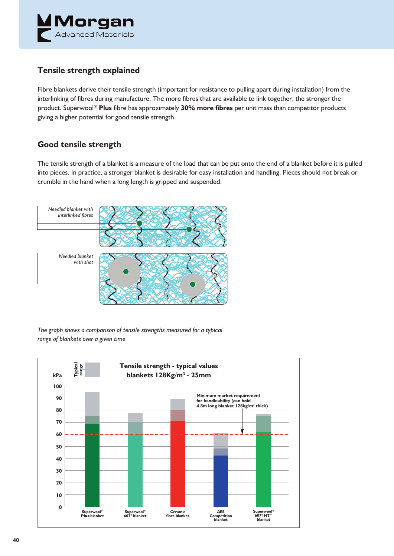

### **Tensile strength explained**

Fibre blankets derive their tensile strength (important for resistance to pulling apart during installation) from the interlinking of fibres during manufacture. The more fibres that are available to link together, the stronger the product. Superwool ® **Plus** fibre has approximately **30% more fibres** per unit mass than competitor products giving a higher potential for good tensile strength.

### **Good tensile strength**

The tensile strength of a blanket is a measure of the load that can be put onto the end of a blanket before it is pulled into pieces. In practice, a stronger blanket is desirable for easy installation and handling. Pieces should not break or crumble in the hand when a long length is gripped and suspended.



*The graph shows a comparison of tensile strengths measured for a typical range of blankets over a given time.*

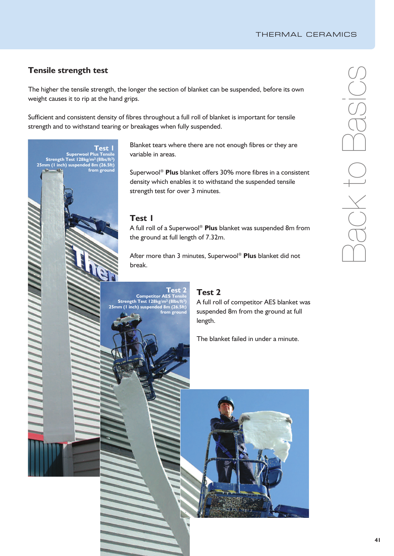### **Tensile strength test**

The higher the tensile strength, the longer the section of blanket can be suspended, before its own weight causes it to rip at the hand grips.

Sufficient and consistent density of fibres throughout a full roll of blanket is important for tensile strength and to withstand tearing or breakages when fully suspended.

> Blanket tears where there are not enough fibres or they are variable in areas.

Superwool ® **Plus** blanket offers 30% more fibres in a consistent density which enables it to withstand the suspended tensile strength test for over 3 minutes.

### **Test 1**

**Test 1**

**from ground**

**Superwool Plus Tensile**

**Strength Test 128kg/m3 (8lbs/ft3) 25mm (1 inch) suspended 8m (26.5ft)**

> A full roll of a Superwool ® **Plus** blanket was suspended 8m from the ground at full length of 7.32m.

After more than 3 minutes, Superwool ® **Plus** blanket did not break.

### **Test 2 Test 2 Competitor A Strength Test 128kg/m3 (8lbs/ft3)**

A full roll of competitor AES blanket was suspended 8m from the ground at full length. **25mm (1 inch) suspended 8m (26.5ft) from ground**

The blanket failed in under a minute.